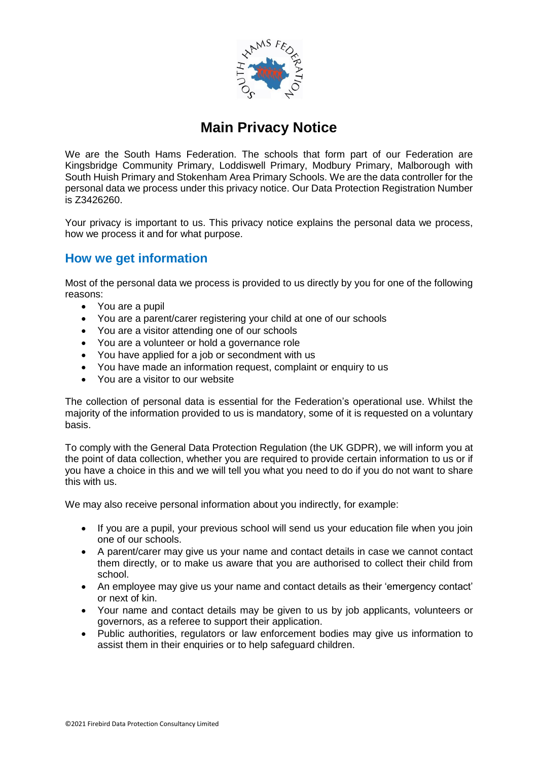

# **Main Privacy Notice**

We are the South Hams Federation. The schools that form part of our Federation are Kingsbridge Community Primary, Loddiswell Primary, Modbury Primary, Malborough with South Huish Primary and Stokenham Area Primary Schools. We are the data controller for the personal data we process under this privacy notice. Our Data Protection Registration Number is Z3426260.

Your privacy is important to us. This privacy notice explains the personal data we process, how we process it and for what purpose.

## **How we get information**

Most of the personal data we process is provided to us directly by you for one of the following reasons:

- You are a pupil
- You are a parent/carer registering your child at one of our schools
- You are a visitor attending one of our schools
- You are a volunteer or hold a governance role
- You have applied for a job or secondment with us
- You have made an information request, complaint or enquiry to us
- You are a visitor to our website

The collection of personal data is essential for the Federation's operational use. Whilst the majority of the information provided to us is mandatory, some of it is requested on a voluntary basis.

To comply with the General Data Protection Regulation (the UK GDPR), we will inform you at the point of data collection, whether you are required to provide certain information to us or if you have a choice in this and we will tell you what you need to do if you do not want to share this with us.

We may also receive personal information about you indirectly, for example:

- If you are a pupil, your previous school will send us your education file when you join one of our schools.
- A parent/carer may give us your name and contact details in case we cannot contact them directly, or to make us aware that you are authorised to collect their child from school.
- An employee may give us your name and contact details as their 'emergency contact' or next of kin.
- Your name and contact details may be given to us by job applicants, volunteers or governors, as a referee to support their application.
- Public authorities, regulators or law enforcement bodies may give us information to assist them in their enquiries or to help safeguard children.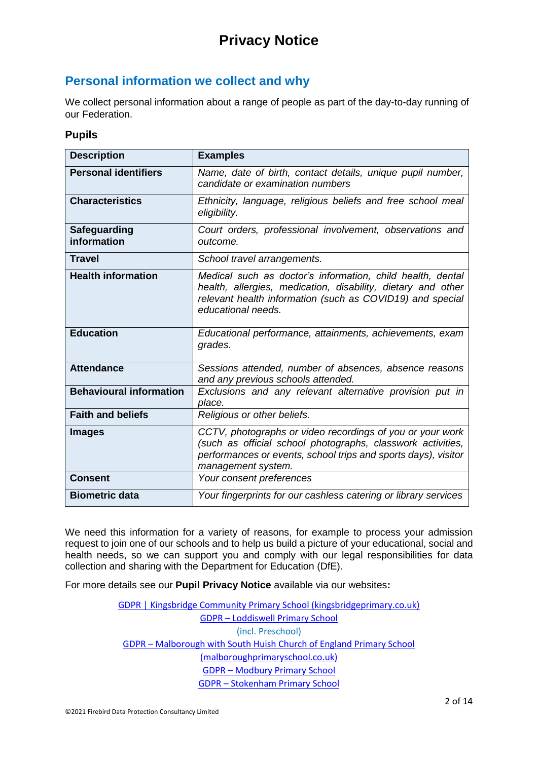## **Personal information we collect and why**

We collect personal information about a range of people as part of the day-to-day running of our Federation.

#### **Pupils**

| <b>Description</b>             | <b>Examples</b>                                                                                                                                                                                                  |
|--------------------------------|------------------------------------------------------------------------------------------------------------------------------------------------------------------------------------------------------------------|
| <b>Personal identifiers</b>    | Name, date of birth, contact details, unique pupil number,<br>candidate or examination numbers                                                                                                                   |
| <b>Characteristics</b>         | Ethnicity, language, religious beliefs and free school meal<br>eligibility.                                                                                                                                      |
| Safeguarding<br>information    | Court orders, professional involvement, observations and<br>outcome.                                                                                                                                             |
| <b>Travel</b>                  | School travel arrangements.                                                                                                                                                                                      |
| <b>Health information</b>      | Medical such as doctor's information, child health, dental<br>health, allergies, medication, disability, dietary and other<br>relevant health information (such as COVID19) and special<br>educational needs.    |
| <b>Education</b>               | Educational performance, attainments, achievements, exam<br>grades.                                                                                                                                              |
| <b>Attendance</b>              | Sessions attended, number of absences, absence reasons<br>and any previous schools attended.                                                                                                                     |
| <b>Behavioural information</b> | Exclusions and any relevant alternative provision put in<br>place.                                                                                                                                               |
| <b>Faith and beliefs</b>       | Religious or other beliefs.                                                                                                                                                                                      |
| <b>Images</b>                  | CCTV, photographs or video recordings of you or your work<br>(such as official school photographs, classwork activities,<br>performances or events, school trips and sports days), visitor<br>management system. |
| <b>Consent</b>                 | Your consent preferences                                                                                                                                                                                         |
| <b>Biometric data</b>          | Your fingerprints for our cashless catering or library services                                                                                                                                                  |

We need this information for a variety of reasons, for example to process your admission request to join one of our schools and to help us build a picture of your educational, social and health needs, so we can support you and comply with our legal responsibilities for data collection and sharing with the Department for Education (DfE).

For more details see our **Pupil Privacy Notice** available via our websites**:** 

[GDPR | Kingsbridge Community Primary School \(kingsbridgeprimary.co.uk\)](https://www.kingsbridgeprimary.co.uk/gdpr-1/) GDPR – [Loddiswell Primary School](https://www.loddiswellprimaryschool.co.uk/gdpr/) (incl. Preschool) GDPR – [Malborough with South Huish Church of England Primary School](https://www.malboroughprimaryschool.co.uk/gdpr/)  [\(malboroughprimaryschool.co.uk\)](https://www.malboroughprimaryschool.co.uk/gdpr/) GDPR – [Modbury Primary School](https://www.modburyprimaryschool.co.uk/gdpr/) GDPR – [Stokenham Primary School](https://stokenhamprimaryschool.co.uk/gdpr/)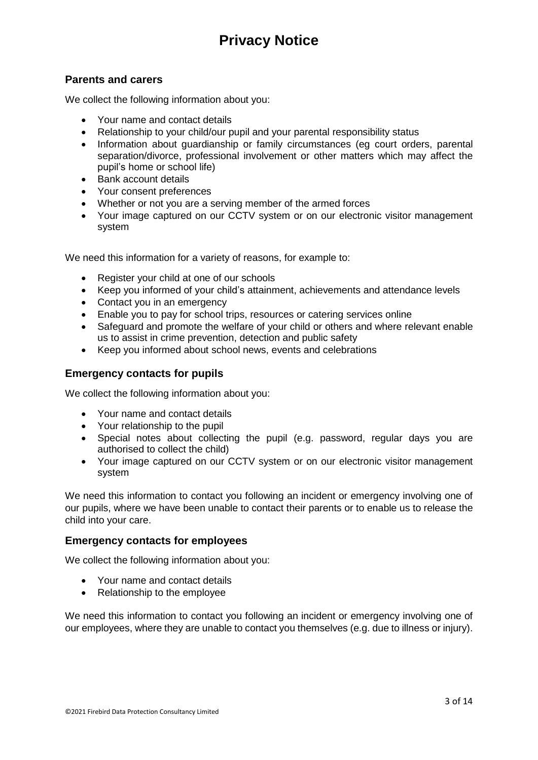## **Parents and carers**

We collect the following information about you:

- Your name and contact details
- Relationship to your child/our pupil and your parental responsibility status
- Information about quardianship or family circumstances (eq court orders, parental separation/divorce, professional involvement or other matters which may affect the pupil's home or school life)
- Bank account details
- Your consent preferences
- Whether or not you are a serving member of the armed forces
- Your image captured on our CCTV system or on our electronic visitor management system

We need this information for a variety of reasons, for example to:

- Register your child at one of our schools
- Keep you informed of your child's attainment, achievements and attendance levels
- Contact you in an emergency
- Enable you to pay for school trips, resources or catering services online
- Safeguard and promote the welfare of your child or others and where relevant enable us to assist in crime prevention, detection and public safety
- Keep you informed about school news, events and celebrations

### **Emergency contacts for pupils**

We collect the following information about you:

- Your name and contact details
- Your relationship to the pupil
- Special notes about collecting the pupil (e.g. password, regular days you are authorised to collect the child)
- Your image captured on our CCTV system or on our electronic visitor management system

We need this information to contact you following an incident or emergency involving one of our pupils, where we have been unable to contact their parents or to enable us to release the child into your care.

### **Emergency contacts for employees**

We collect the following information about you:

- Your name and contact details
- Relationship to the employee

We need this information to contact you following an incident or emergency involving one of our employees, where they are unable to contact you themselves (e.g. due to illness or injury).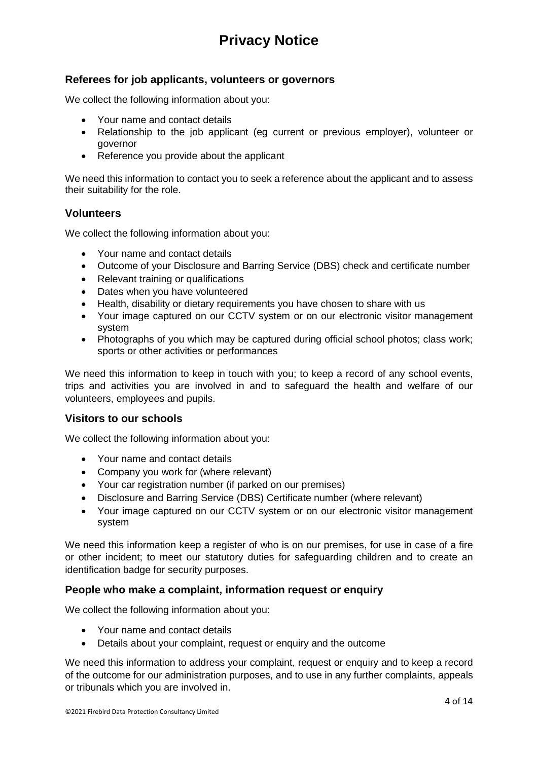## **Referees for job applicants, volunteers or governors**

We collect the following information about you:

- Your name and contact details
- Relationship to the job applicant (eg current or previous employer), volunteer or governor
- Reference you provide about the applicant

We need this information to contact you to seek a reference about the applicant and to assess their suitability for the role.

### **Volunteers**

We collect the following information about you:

- Your name and contact details
- Outcome of your Disclosure and Barring Service (DBS) check and certificate number
- Relevant training or qualifications
- Dates when you have volunteered
- Health, disability or dietary requirements you have chosen to share with us
- Your image captured on our CCTV system or on our electronic visitor management system
- Photographs of you which may be captured during official school photos; class work; sports or other activities or performances

We need this information to keep in touch with you; to keep a record of any school events, trips and activities you are involved in and to safeguard the health and welfare of our volunteers, employees and pupils.

### **Visitors to our schools**

We collect the following information about you:

- Your name and contact details
- Company you work for (where relevant)
- Your car registration number (if parked on our premises)
- Disclosure and Barring Service (DBS) Certificate number (where relevant)
- Your image captured on our CCTV system or on our electronic visitor management system

We need this information keep a register of who is on our premises, for use in case of a fire or other incident; to meet our statutory duties for safeguarding children and to create an identification badge for security purposes.

### **People who make a complaint, information request or enquiry**

We collect the following information about you:

- Your name and contact details
- Details about your complaint, request or enquiry and the outcome

We need this information to address your complaint, request or enquiry and to keep a record of the outcome for our administration purposes, and to use in any further complaints, appeals or tribunals which you are involved in.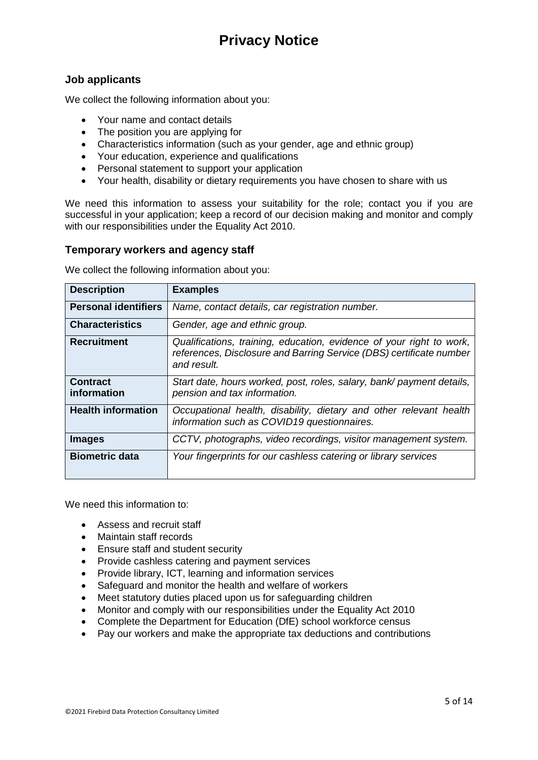## **Job applicants**

We collect the following information about you:

- Your name and contact details
- The position you are applying for
- Characteristics information (such as your gender, age and ethnic group)
- Your education, experience and qualifications
- Personal statement to support your application
- Your health, disability or dietary requirements you have chosen to share with us

We need this information to assess your suitability for the role; contact you if you are successful in your application; keep a record of our decision making and monitor and comply with our responsibilities under the Equality Act 2010.

## **Temporary workers and agency staff**

We collect the following information about you:

| <b>Description</b>             | <b>Examples</b>                                                                                                                                            |
|--------------------------------|------------------------------------------------------------------------------------------------------------------------------------------------------------|
| <b>Personal identifiers</b>    | Name, contact details, car registration number.                                                                                                            |
| <b>Characteristics</b>         | Gender, age and ethnic group.                                                                                                                              |
| <b>Recruitment</b>             | Qualifications, training, education, evidence of your right to work,<br>references, Disclosure and Barring Service (DBS) certificate number<br>and result. |
| <b>Contract</b><br>information | Start date, hours worked, post, roles, salary, bank/payment details,<br>pension and tax information.                                                       |
| <b>Health information</b>      | Occupational health, disability, dietary and other relevant health<br>information such as COVID19 questionnaires.                                          |
| <b>Images</b>                  | CCTV, photographs, video recordings, visitor management system.                                                                                            |
| <b>Biometric data</b>          | Your fingerprints for our cashless catering or library services                                                                                            |

We need this information to:

- Assess and recruit staff
- Maintain staff records
- Ensure staff and student security
- Provide cashless catering and payment services
- Provide library, ICT, learning and information services
- Safeguard and monitor the health and welfare of workers
- Meet statutory duties placed upon us for safeguarding children
- Monitor and comply with our responsibilities under the Equality Act 2010
- Complete the Department for Education (DfE) school workforce census
- Pay our workers and make the appropriate tax deductions and contributions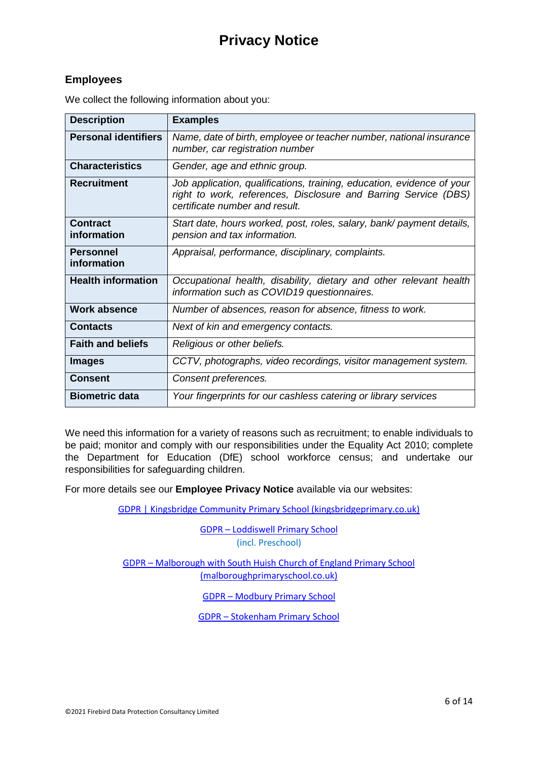## **Employees**

| <b>Description</b>              | <b>Examples</b>                                                                                                                                                             |
|---------------------------------|-----------------------------------------------------------------------------------------------------------------------------------------------------------------------------|
| <b>Personal identifiers</b>     | Name, date of birth, employee or teacher number, national insurance<br>number, car registration number                                                                      |
| <b>Characteristics</b>          | Gender, age and ethnic group.                                                                                                                                               |
| <b>Recruitment</b>              | Job application, qualifications, training, education, evidence of your<br>right to work, references, Disclosure and Barring Service (DBS)<br>certificate number and result. |
| <b>Contract</b><br>information  | Start date, hours worked, post, roles, salary, bank/ payment details,<br>pension and tax information.                                                                       |
| <b>Personnel</b><br>information | Appraisal, performance, disciplinary, complaints.                                                                                                                           |
| <b>Health information</b>       | Occupational health, disability, dietary and other relevant health<br>information such as COVID19 questionnaires.                                                           |
| <b>Work absence</b>             | Number of absences, reason for absence, fitness to work.                                                                                                                    |
| <b>Contacts</b>                 | Next of kin and emergency contacts.                                                                                                                                         |
| <b>Faith and beliefs</b>        | Religious or other beliefs.                                                                                                                                                 |
| <b>Images</b>                   | CCTV, photographs, video recordings, visitor management system.                                                                                                             |
| <b>Consent</b>                  | Consent preferences.                                                                                                                                                        |
| <b>Biometric data</b>           | Your fingerprints for our cashless catering or library services                                                                                                             |

We collect the following information about you:

We need this information for a variety of reasons such as recruitment; to enable individuals to be paid; monitor and comply with our responsibilities under the Equality Act 2010; complete the Department for Education (DfE) school workforce census; and undertake our responsibilities for safeguarding children.

For more details see our **Employee Privacy Notice** available via our websites:

[GDPR | Kingsbridge Community Primary School \(kingsbridgeprimary.co.uk\)](https://www.kingsbridgeprimary.co.uk/gdpr-1/)

GDPR – [Loddiswell Primary School](https://www.loddiswellprimaryschool.co.uk/gdpr/) (incl. Preschool)

GDPR – [Malborough with South Huish Church of England Primary School](https://www.malboroughprimaryschool.co.uk/gdpr/)  [\(malboroughprimaryschool.co.uk\)](https://www.malboroughprimaryschool.co.uk/gdpr/)

GDPR – [Modbury Primary School](https://www.modburyprimaryschool.co.uk/gdpr/)

GDPR – [Stokenham Primary School](https://stokenhamprimaryschool.co.uk/gdpr/)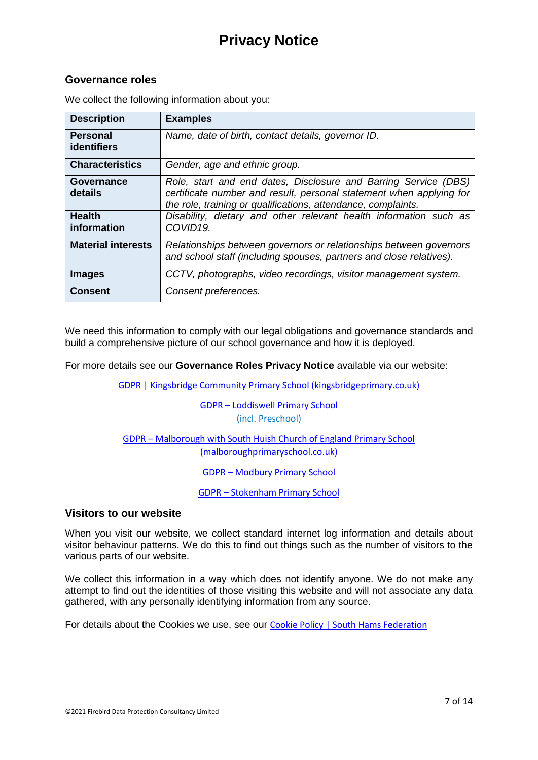## **Governance roles**

| <b>Description</b>                    | <b>Examples</b>                                                                                                                                                                                         |
|---------------------------------------|---------------------------------------------------------------------------------------------------------------------------------------------------------------------------------------------------------|
| <b>Personal</b><br><b>identifiers</b> | Name, date of birth, contact details, governor ID.                                                                                                                                                      |
| <b>Characteristics</b>                | Gender, age and ethnic group.                                                                                                                                                                           |
| Governance<br>details                 | Role, start and end dates, Disclosure and Barring Service (DBS)<br>certificate number and result, personal statement when applying for<br>the role, training or qualifications, attendance, complaints. |
| <b>Health</b><br>information          | Disability, dietary and other relevant health information such as<br>COVID19.                                                                                                                           |
| <b>Material interests</b>             | Relationships between governors or relationships between governors<br>and school staff (including spouses, partners and close relatives).                                                               |
| <b>Images</b>                         | CCTV, photographs, video recordings, visitor management system.                                                                                                                                         |
| <b>Consent</b>                        | Consent preferences.                                                                                                                                                                                    |

We collect the following information about you:

We need this information to comply with our legal obligations and governance standards and build a comprehensive picture of our school governance and how it is deployed.

For more details see our **Governance Roles Privacy Notice** available via our website:

[GDPR | Kingsbridge Community Primary School \(kingsbridgeprimary.co.uk\)](https://www.kingsbridgeprimary.co.uk/gdpr-1/)

GDPR – [Loddiswell Primary School](https://www.loddiswellprimaryschool.co.uk/gdpr/) (incl. Preschool)

GDPR – [Malborough with South Huish Church of England Primary School](https://www.malboroughprimaryschool.co.uk/gdpr/)  [\(malboroughprimaryschool.co.uk\)](https://www.malboroughprimaryschool.co.uk/gdpr/)

GDPR – [Modbury Primary School](https://www.modburyprimaryschool.co.uk/gdpr/)

GDPR – [Stokenham Primary School](https://stokenhamprimaryschool.co.uk/gdpr/)

## **Visitors to our website**

When you visit our website, we collect standard internet log information and details about visitor behaviour patterns. We do this to find out things such as the number of visitors to the various parts of our website.

We collect this information in a way which does not identify anyone. We do not make any attempt to find out the identities of those visiting this website and will not associate any data gathered, with any personally identifying information from any source.

For details about the Cookies we use, see our [Cookie Policy | South Hams Federation](https://southhamsfederation.co.uk/?page_id=1809)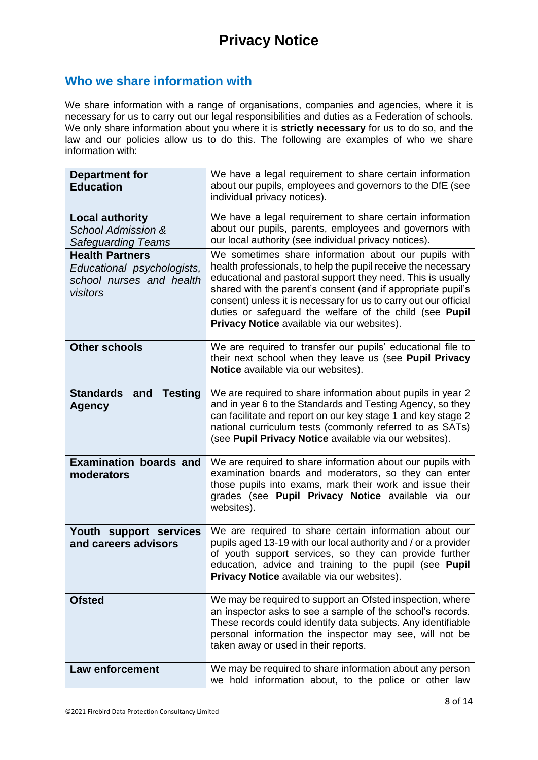## **Who we share information with**

We share information with a range of organisations, companies and agencies, where it is necessary for us to carry out our legal responsibilities and duties as a Federation of schools. We only share information about you where it is **strictly necessary** for us to do so, and the law and our policies allow us to do this. The following are examples of who we share information with:

| <b>Department for</b><br><b>Education</b>                                                    | We have a legal requirement to share certain information<br>about our pupils, employees and governors to the DfE (see<br>individual privacy notices).                                                                                                                                                                                                                                                                              |
|----------------------------------------------------------------------------------------------|------------------------------------------------------------------------------------------------------------------------------------------------------------------------------------------------------------------------------------------------------------------------------------------------------------------------------------------------------------------------------------------------------------------------------------|
| <b>Local authority</b><br><b>School Admission &amp;</b><br><b>Safeguarding Teams</b>         | We have a legal requirement to share certain information<br>about our pupils, parents, employees and governors with<br>our local authority (see individual privacy notices).                                                                                                                                                                                                                                                       |
| <b>Health Partners</b><br>Educational psychologists,<br>school nurses and health<br>visitors | We sometimes share information about our pupils with<br>health professionals, to help the pupil receive the necessary<br>educational and pastoral support they need. This is usually<br>shared with the parent's consent (and if appropriate pupil's<br>consent) unless it is necessary for us to carry out our official<br>duties or safeguard the welfare of the child (see Pupil<br>Privacy Notice available via our websites). |
| <b>Other schools</b>                                                                         | We are required to transfer our pupils' educational file to<br>their next school when they leave us (see Pupil Privacy<br>Notice available via our websites).                                                                                                                                                                                                                                                                      |
| <b>Standards</b><br><b>Testing</b><br>and<br><b>Agency</b>                                   | We are required to share information about pupils in year 2<br>and in year 6 to the Standards and Testing Agency, so they<br>can facilitate and report on our key stage 1 and key stage 2<br>national curriculum tests (commonly referred to as SATs)<br>(see Pupil Privacy Notice available via our websites).                                                                                                                    |
| <b>Examination boards and</b><br>moderators                                                  | We are required to share information about our pupils with<br>examination boards and moderators, so they can enter<br>those pupils into exams, mark their work and issue their<br>grades (see Pupil Privacy Notice available via our<br>websites).                                                                                                                                                                                 |
| Youth support services<br>and careers advisors                                               | We are required to share certain information about our<br>pupils aged 13-19 with our local authority and / or a provider<br>of youth support services, so they can provide further<br>education, advice and training to the pupil (see Pupil<br>Privacy Notice available via our websites).                                                                                                                                        |
| <b>Ofsted</b>                                                                                | We may be required to support an Ofsted inspection, where<br>an inspector asks to see a sample of the school's records.<br>These records could identify data subjects. Any identifiable<br>personal information the inspector may see, will not be<br>taken away or used in their reports.                                                                                                                                         |
| <b>Law enforcement</b>                                                                       | We may be required to share information about any person<br>we hold information about, to the police or other law                                                                                                                                                                                                                                                                                                                  |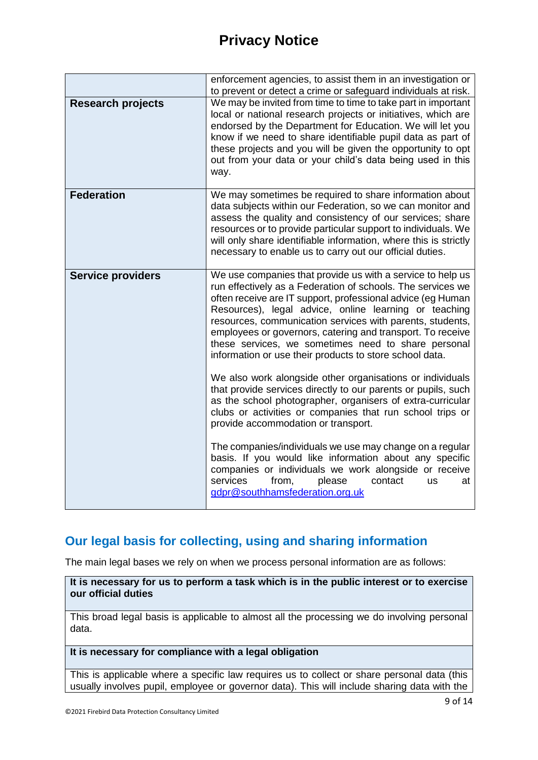|                          | enforcement agencies, to assist them in an investigation or<br>to prevent or detect a crime or safeguard individuals at risk.                                                                                                                                                                                                                                                                                                                                                                  |
|--------------------------|------------------------------------------------------------------------------------------------------------------------------------------------------------------------------------------------------------------------------------------------------------------------------------------------------------------------------------------------------------------------------------------------------------------------------------------------------------------------------------------------|
| <b>Research projects</b> | We may be invited from time to time to take part in important<br>local or national research projects or initiatives, which are<br>endorsed by the Department for Education. We will let you<br>know if we need to share identifiable pupil data as part of<br>these projects and you will be given the opportunity to opt<br>out from your data or your child's data being used in this<br>way.                                                                                                |
| <b>Federation</b>        | We may sometimes be required to share information about<br>data subjects within our Federation, so we can monitor and<br>assess the quality and consistency of our services; share<br>resources or to provide particular support to individuals. We<br>will only share identifiable information, where this is strictly<br>necessary to enable us to carry out our official duties.                                                                                                            |
| <b>Service providers</b> | We use companies that provide us with a service to help us<br>run effectively as a Federation of schools. The services we<br>often receive are IT support, professional advice (eg Human<br>Resources), legal advice, online learning or teaching<br>resources, communication services with parents, students,<br>employees or governors, catering and transport. To receive<br>these services, we sometimes need to share personal<br>information or use their products to store school data. |
|                          | We also work alongside other organisations or individuals<br>that provide services directly to our parents or pupils, such<br>as the school photographer, organisers of extra-curricular<br>clubs or activities or companies that run school trips or<br>provide accommodation or transport.                                                                                                                                                                                                   |
|                          | The companies/individuals we use may change on a regular<br>basis. If you would like information about any specific<br>companies or individuals we work alongside or receive<br>services<br>from,<br>please<br>contact<br>us<br>at<br>gdpr@southhamsfederation.org.uk                                                                                                                                                                                                                          |

## **Our legal basis for collecting, using and sharing information**

The main legal bases we rely on when we process personal information are as follows:

**It is necessary for us to perform a task which is in the public interest or to exercise our official duties**

This broad legal basis is applicable to almost all the processing we do involving personal data.

**It is necessary for compliance with a legal obligation**

This is applicable where a specific law requires us to collect or share personal data (this usually involves pupil, employee or governor data). This will include sharing data with the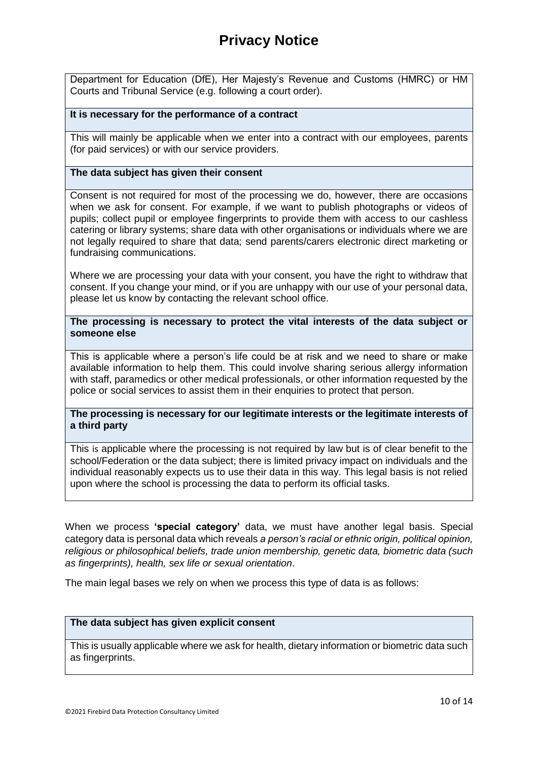Department for Education (DfE), Her Majesty's Revenue and Customs (HMRC) or HM Courts and Tribunal Service (e.g. following a court order).

#### **It is necessary for the performance of a contract**

This will mainly be applicable when we enter into a contract with our employees, parents (for paid services) or with our service providers.

#### **The data subject has given their consent**

Consent is not required for most of the processing we do, however, there are occasions when we ask for consent. For example, if we want to publish photographs or videos of pupils; collect pupil or employee fingerprints to provide them with access to our cashless catering or library systems; share data with other organisations or individuals where we are not legally required to share that data; send parents/carers electronic direct marketing or fundraising communications.

Where we are processing your data with your consent, you have the right to withdraw that consent. If you change your mind, or if you are unhappy with our use of your personal data, please let us know by contacting the relevant school office.

**The processing is necessary to protect the vital interests of the data subject or someone else**

This is applicable where a person's life could be at risk and we need to share or make available information to help them. This could involve sharing serious allergy information with staff, paramedics or other medical professionals, or other information requested by the police or social services to assist them in their enquiries to protect that person.

**The processing is necessary for our legitimate interests or the legitimate interests of a third party**

This is applicable where the processing is not required by law but is of clear benefit to the school/Federation or the data subject; there is limited privacy impact on individuals and the individual reasonably expects us to use their data in this way. This legal basis is not relied upon where the school is processing the data to perform its official tasks.

When we process **'special category'** data, we must have another legal basis. Special category data is personal data which reveals *a person's racial or ethnic origin, political opinion, religious or philosophical beliefs, trade union membership, genetic data, biometric data (such as fingerprints), health, sex life or sexual orientation*.

The main legal bases we rely on when we process this type of data is as follows:

#### **The data subject has given explicit consent**

This is usually applicable where we ask for health, dietary information or biometric data such as fingerprints.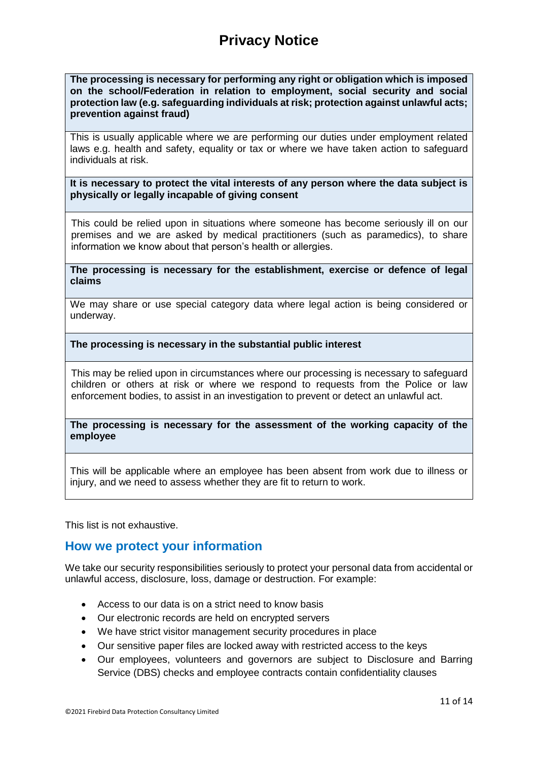**The processing is necessary for performing any right or obligation which is imposed on the school/Federation in relation to employment, social security and social protection law (e.g. safeguarding individuals at risk; protection against unlawful acts; prevention against fraud)**

This is usually applicable where we are performing our duties under employment related laws e.g. health and safety, equality or tax or where we have taken action to safeguard individuals at risk.

**It is necessary to protect the vital interests of any person where the data subject is physically or legally incapable of giving consent**

This could be relied upon in situations where someone has become seriously ill on our premises and we are asked by medical practitioners (such as paramedics), to share information we know about that person's health or allergies.

**The processing is necessary for the establishment, exercise or defence of legal claims**

We may share or use special category data where legal action is being considered or underway.

**The processing is necessary in the substantial public interest**

This may be relied upon in circumstances where our processing is necessary to safeguard children or others at risk or where we respond to requests from the Police or law enforcement bodies, to assist in an investigation to prevent or detect an unlawful act.

**The processing is necessary for the assessment of the working capacity of the employee**

This will be applicable where an employee has been absent from work due to illness or injury, and we need to assess whether they are fit to return to work.

This list is not exhaustive.

## **How we protect your information**

We take our security responsibilities seriously to protect your personal data from accidental or unlawful access, disclosure, loss, damage or destruction. For example:

- Access to our data is on a strict need to know basis
- Our electronic records are held on encrypted servers
- We have strict visitor management security procedures in place
- Our sensitive paper files are locked away with restricted access to the keys
- Our employees, volunteers and governors are subject to Disclosure and Barring Service (DBS) checks and employee contracts contain confidentiality clauses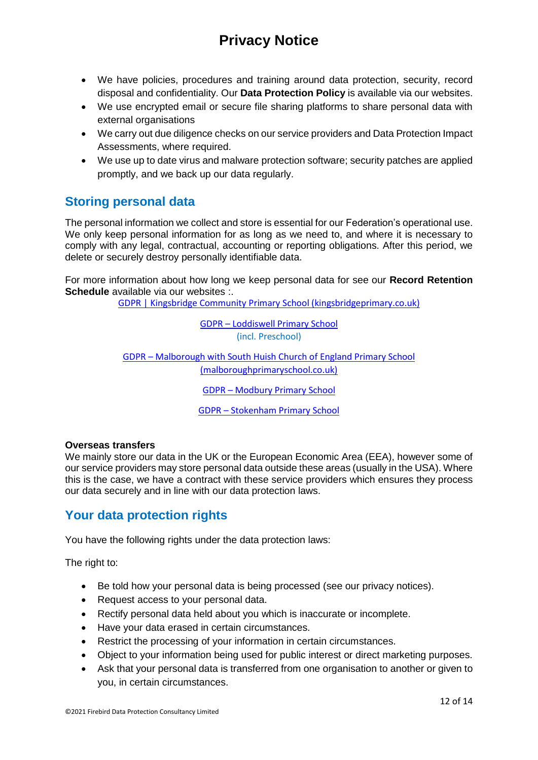- We have policies, procedures and training around data protection, security, record disposal and confidentiality. Our **Data Protection Policy** is available via our websites.
- We use encrypted email or secure file sharing platforms to share personal data with external organisations
- We carry out due diligence checks on our service providers and Data Protection Impact Assessments, where required.
- We use up to date virus and malware protection software; security patches are applied promptly, and we back up our data regularly.

## **Storing personal data**

The personal information we collect and store is essential for our Federation's operational use. We only keep personal information for as long as we need to, and where it is necessary to comply with any legal, contractual, accounting or reporting obligations. After this period, we delete or securely destroy personally identifiable data.

For more information about how long we keep personal data for see our **Record Retention Schedule** available via our websites :.

[GDPR | Kingsbridge Community Primary School \(kingsbridgeprimary.co.uk\)](https://www.kingsbridgeprimary.co.uk/gdpr-1/)

GDPR – [Loddiswell Primary School](https://www.loddiswellprimaryschool.co.uk/gdpr/) (incl. Preschool)

GDPR – [Malborough with South Huish Church of England Primary School](https://www.malboroughprimaryschool.co.uk/gdpr/)  [\(malboroughprimaryschool.co.uk\)](https://www.malboroughprimaryschool.co.uk/gdpr/)

GDPR – [Modbury Primary School](https://www.modburyprimaryschool.co.uk/gdpr/)

GDPR – [Stokenham Primary School](https://stokenhamprimaryschool.co.uk/gdpr/)

### **Overseas transfers**

We mainly store our data in the UK or the European Economic Area (EEA), however some of our service providers may store personal data outside these areas (usually in the USA). Where this is the case, we have a contract with these service providers which ensures they process our data securely and in line with our data protection laws.

## **Your data protection rights**

You have the following rights under the data protection laws:

The right to:

- Be told how your personal data is being processed (see our privacy notices).
- Request access to your personal data.
- Rectify personal data held about you which is inaccurate or incomplete.
- Have your data erased in certain circumstances.
- Restrict the processing of your information in certain circumstances.
- Object to your information being used for public interest or direct marketing purposes.
- Ask that your personal data is transferred from one organisation to another or given to you, in certain circumstances.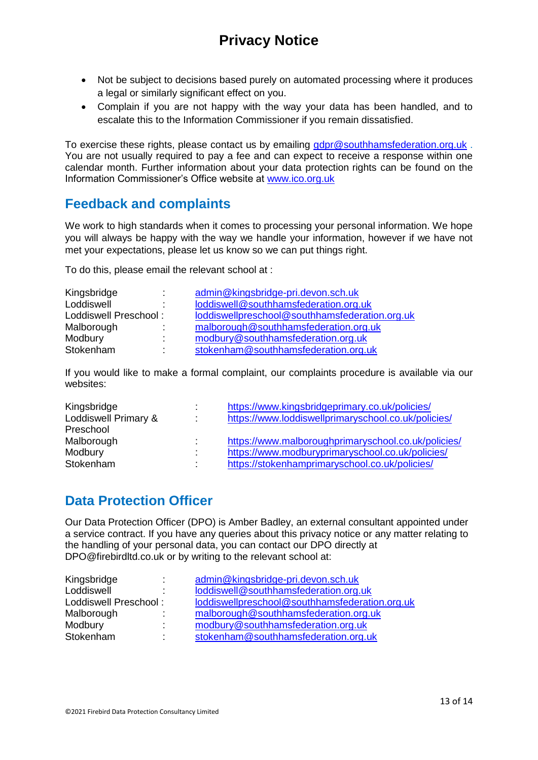- Not be subject to decisions based purely on automated processing where it produces a legal or similarly significant effect on you.
- Complain if you are not happy with the way your data has been handled, and to escalate this to the Information Commissioner if you remain dissatisfied.

To exercise these rights, please contact us by emailing [gdpr@southhamsfederation.org.uk](mailto:gdpr@southhamsfederation.org.uk). You are not usually required to pay a fee and can expect to receive a response within one calendar month. Further information about your data protection rights can be found on the Information Commissioner's Office website at [www.ico.org.uk](http://www.ico.org.uk/)

## **Feedback and complaints**

We work to high standards when it comes to processing your personal information. We hope you will always be happy with the way we handle your information, however if we have not met your expectations, please let us know so we can put things right.

To do this, please email the relevant school at :

| Kingsbridge           |                          | admin@kingsbridge-pri.devon.sch.uk             |
|-----------------------|--------------------------|------------------------------------------------|
| Loddiswell            | $\overline{\phantom{a}}$ | loddiswell@southhamsfederation.org.uk          |
| Loddiswell Preschool: |                          | loddiswellpreschool@southhamsfederation.org.uk |
| Malborough            |                          | malborough@southhamsfederation.org.uk          |
| Modbury               |                          | modbury@southhamsfederation.org.uk             |
| Stokenham             | $\mathbf{r}$             | stokenham@southhamsfederation.org.uk           |

If you would like to make a formal complaint, our complaints procedure is available via our websites:

| Kingsbridge<br>Loddiswell Primary & | ٠<br>÷                        | https://www.kingsbridgeprimary.co.uk/policies/<br>https://www.loddiswellprimaryschool.co.uk/policies/ |
|-------------------------------------|-------------------------------|-------------------------------------------------------------------------------------------------------|
| Preschool                           |                               |                                                                                                       |
| Malborough                          | ÷                             | https://www.malboroughprimaryschool.co.uk/policies/                                                   |
| Modbury                             | ٠<br>$\overline{\phantom{a}}$ | https://www.modburyprimaryschool.co.uk/policies/                                                      |
| Stokenham                           | ٠                             | https://stokenhamprimaryschool.co.uk/policies/                                                        |

## **Data Protection Officer**

Our Data Protection Officer (DPO) is Amber Badley, an external consultant appointed under a service contract. If you have any queries about this privacy notice or any matter relating to the handling of your personal data, you can contact our DPO directly at DPO@firebirdltd.co.uk or by writing to the relevant school at:

| Kingsbridge           |    | admin@kingsbridge-pri.devon.sch.uk             |
|-----------------------|----|------------------------------------------------|
| Loddiswell            |    | loddiswell@southhamsfederation.org.uk          |
| Loddiswell Preschool: |    | loddiswellpreschool@southhamsfederation.org.uk |
| Malborough            |    | malborough@southhamsfederation.org.uk          |
| Modbury               | ۰. | modbury@southhamsfederation.org.uk             |
| Stokenham             | ٠  | stokenham@southhamsfederation.org.uk           |